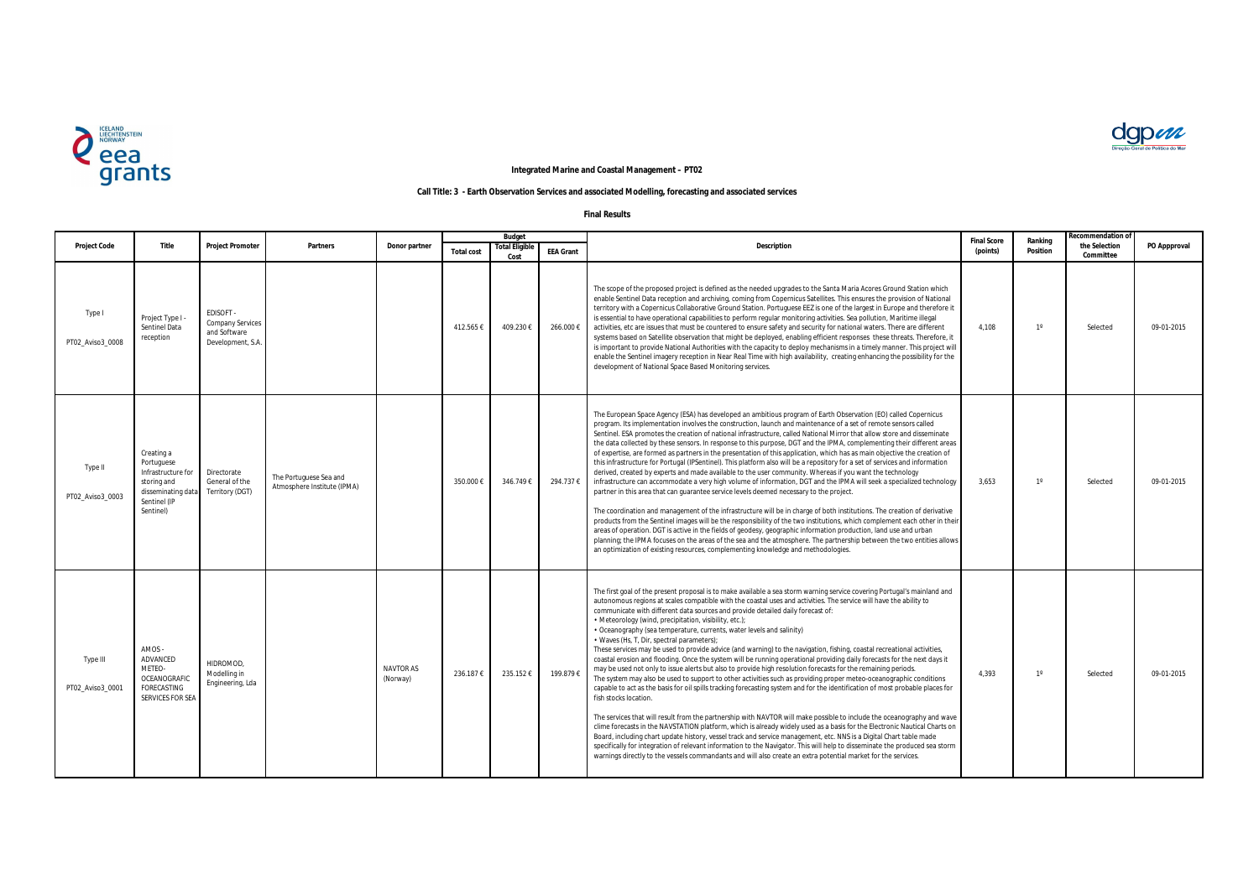| <b>Project Code</b>          | Title                                                                                                            | <b>Project Promoter</b>                                                   | <b>Partners</b>                                       | Donor partner         | <b>Budget</b>     |                              |                  |                                                                                                                                                                                                                                                                                                                                                                                                                                                                                                                                                                                                                                                                                                                                                                                                                                                                                                                                                                                                                                                                                                                                                                                                                                                                                                                                                                                                                                                                                                                                                                                                                                                                                                                                                                                                         | <b>Final Score</b> | Ranking         | <b>Recommendation of</b>   |              |
|------------------------------|------------------------------------------------------------------------------------------------------------------|---------------------------------------------------------------------------|-------------------------------------------------------|-----------------------|-------------------|------------------------------|------------------|---------------------------------------------------------------------------------------------------------------------------------------------------------------------------------------------------------------------------------------------------------------------------------------------------------------------------------------------------------------------------------------------------------------------------------------------------------------------------------------------------------------------------------------------------------------------------------------------------------------------------------------------------------------------------------------------------------------------------------------------------------------------------------------------------------------------------------------------------------------------------------------------------------------------------------------------------------------------------------------------------------------------------------------------------------------------------------------------------------------------------------------------------------------------------------------------------------------------------------------------------------------------------------------------------------------------------------------------------------------------------------------------------------------------------------------------------------------------------------------------------------------------------------------------------------------------------------------------------------------------------------------------------------------------------------------------------------------------------------------------------------------------------------------------------------|--------------------|-----------------|----------------------------|--------------|
|                              |                                                                                                                  |                                                                           |                                                       |                       | <b>Total cost</b> | <b>Total Eligibl</b><br>Cost | <b>EEA Grant</b> | <b>Description</b>                                                                                                                                                                                                                                                                                                                                                                                                                                                                                                                                                                                                                                                                                                                                                                                                                                                                                                                                                                                                                                                                                                                                                                                                                                                                                                                                                                                                                                                                                                                                                                                                                                                                                                                                                                                      | (points)           | <b>Position</b> | the Selection<br>Committee | PO Appproval |
| Type I<br>PT02_Aviso3_0008   | Project Type I -<br>Sentinel Data<br>reception                                                                   | EDISOFT -<br><b>Company Services</b><br>and Software<br>Development, S.A. |                                                       |                       | 412.565€          | 409.230€                     | 266.000€         | The scope of the proposed project is defined as the needed upgrades to the Santa Maria Acores Ground Station which<br>enable Sentinel Data reception and archiving, coming from Copernicus Satellites. This ensures the provision of National<br>territory with a Copernicus Collaborative Ground Station. Portuguese EEZ is one of the largest in Europe and therefore it<br>is essential to have operational capabilities to perform regular monitoring activities. Sea pollution, Maritime illegal<br>activities, etc are issues that must be countered to ensure safety and security for national waters. There are different<br>systems based on Satellite observation that might be deployed, enabling efficient responses these threats. Therefore, it<br>is important to provide National Authorities with the capacity to deploy mechanisms in a timely manner. This project will<br>enable the Sentinel imagery reception in Near Real Time with high availability, creating enhancing the possibility for the<br>development of National Space Based Monitoring services.                                                                                                                                                                                                                                                                                                                                                                                                                                                                                                                                                                                                                                                                                                                    | 4,108              | $1^{\circ}$     | Selected                   | 09-01-2015   |
| Type II<br>PT02 Aviso3 0003  | Creating a<br>Portuguese<br>Infrastructure for<br>storing and<br>disseminating data<br>Sentinel (IP<br>Sentinel) | Directorate<br>General of the<br>Territory (DGT)                          | The Portuguese Sea and<br>Atmosphere Institute (IPMA) |                       | 350.000€          | 346.749€                     | 294.737€         | The European Space Agency (ESA) has developed an ambitious program of Earth Observation (EO) called Copernicus<br>program. Its implementation involves the construction, launch and maintenance of a set of remote sensors called<br>Sentinel. ESA promotes the creation of national infrastructure, called National Mirror that allow store and disseminate<br>the data collected by these sensors. In response to this purpose, DGT and the IPMA, complementing their different areas<br>of expertise, are formed as partners in the presentation of this application, which has as main objective the creation of<br>this infrastructure for Portugal (IPSentinel). This platform also will be a repository for a set of services and information<br>derived, created by experts and made available to the user community. Whereas if you want the technology<br>infrastructure can accommodate a very high volume of information, DGT and the IPMA will seek a specialized technology<br>partner in this area that can guarantee service levels deemed necessary to the project.<br>The coordination and management of the infrastructure will be in charge of both institutions. The creation of derivative<br>products from the Sentinel images will be the responsibility of the two institutions, which complement each other in their<br>areas of operation. DGT is active in the fields of geodesy, geographic information production, land use and urban<br>planning; the IPMA focuses on the areas of the sea and the atmosphere. The partnership between the two entities allows<br>an optimization of existing resources, complementing knowledge and methodologies.                                                                                                                      | 3,653              | $1^{\circ}$     | Selected                   | 09-01-2015   |
| Type III<br>PT02 Aviso3 0001 | AMOS -<br>ADVANCED<br>METEO-<br>OCEANOGRAFIC<br>FORECASTING<br>SERVICES FOR SEA                                  | HIDROMOD,<br>Modelling in<br>Engineering, Lda                             |                                                       | NAVTOR AS<br>(Norway) | 236.187€          | 235.152€                     | 199.879€         | The first goal of the present proposal is to make available a sea storm warning service covering Portugal's mainland and<br>autonomous regions at scales compatible with the coastal uses and activities. The service will have the ability to<br>communicate with different data sources and provide detailed daily forecast of:<br>• Meteorology (wind, precipitation, visibility, etc.);<br>• Oceanography (sea temperature, currents, water levels and salinity)<br>• Waves (Hs, T, Dir, spectral parameters);<br>These services may be used to provide advice (and warning) to the navigation, fishing, coastal recreational activities,<br>coastal erosion and flooding. Once the system will be running operational providing daily forecasts for the next days it<br>may be used not only to issue alerts but also to provide high resolution forecasts for the remaining periods.<br>The system may also be used to support to other activities such as providing proper meteo-oceanographic conditions<br>capable to act as the basis for oil spills tracking forecasting system and for the identification of most probable places for<br>fish stocks location.<br>The services that will result from the partnership with NAVTOR will make possible to include the oceanography and wave<br>clime forecasts in the NAVSTATION platform, which is already widely used as a basis for the Electronic Nautical Charts on<br>Board, including chart update history, vessel track and service management, etc. NNS is a Digital Chart table made<br>specifically for integration of relevant information to the Navigator. This will help to disseminate the produced sea storm<br>warnings directly to the vessels commandants and will also create an extra potential market for the services. | 4,393              | $1^{\circ}$     | Selected                   | 09-01-2015   |





## **Integrated Marine and Coastal Management – PT02**

## **Call Title: 3 - Earth Observation Services and associated Modelling, forecasting and associated services**

**Final Results**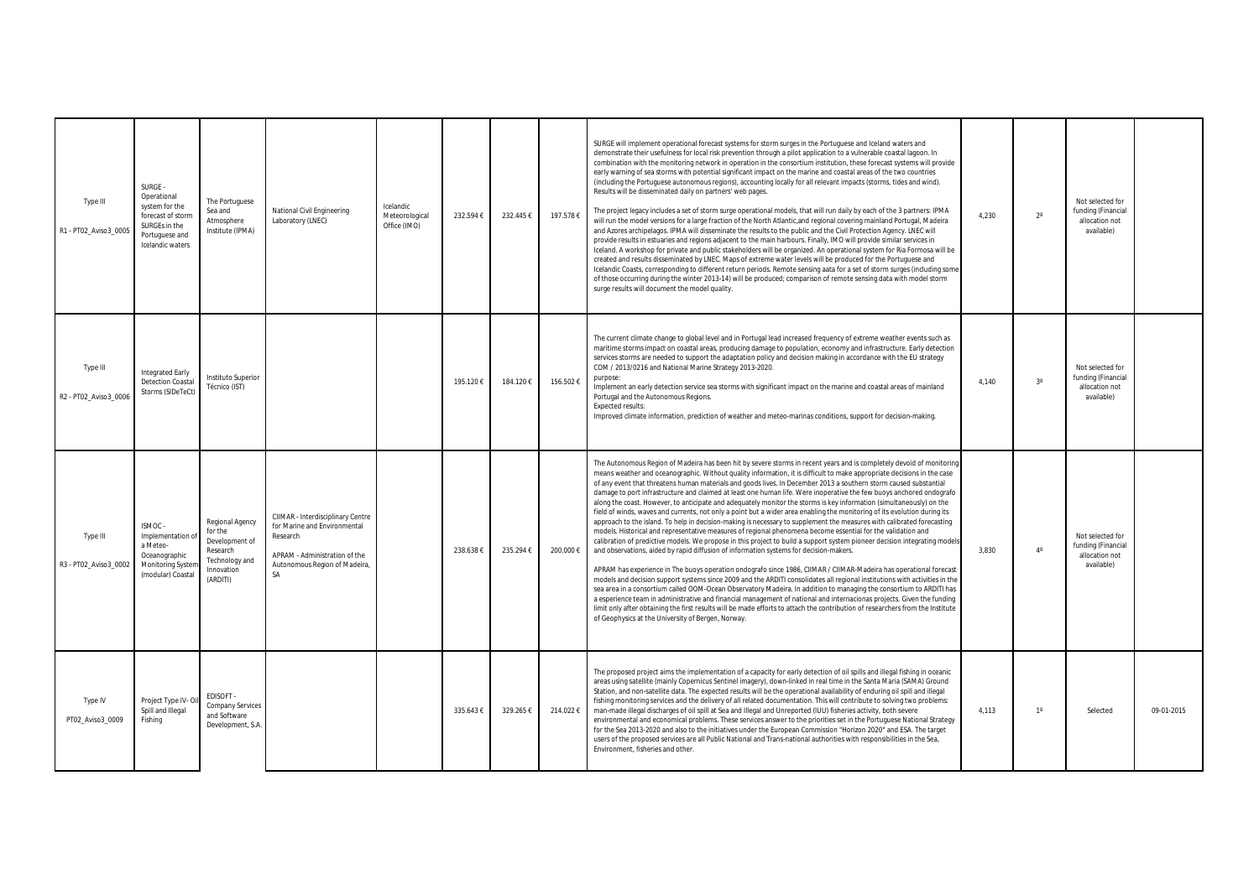| Type III<br>R1 - PT02_Aviso3_0005 | SURGE -<br>Operational<br>system for the<br>forecast of storm<br>SURGEs in the<br>Portuguese and<br>Icelandic waters | The Portuguese<br>Sea and<br>Atmosphere<br>Institute (IPMA)                                          | National Civil Engineering<br>Laboratory (LNEC)                                                                                                              | Icelandic<br>Meteorological<br>Office (IMO) | 232.594 € | 232.445€ | 197.578€  | SURGE will implement operational forecast systems for storm surges in the Portuguese and Iceland waters and<br>demonstrate their usefulness for local risk prevention through a pilot application to a vulnerable coastal lagoon. In<br>combination with the monitoring network in operation in the consortium institution, these forecast systems will provide<br>early warning of sea storms with potential significant impact on the marine and coastal areas of the two countries<br>(including the Portuguese autonomous regions), accounting locally for all relevant impacts (storms, tides and wind).<br>Results will be disseminated daily on partners' web pages.<br>The project legacy includes a set of storm surge operational models, that will run daily by each of the 3 partners: IPMA<br>will run the model versions for a large fraction of the North Atlantic, and regional covering mainland Portugal, Madeira<br>and Azores archipelagos. IPMA will disseminate the results to the public and the Civil Protection Agency. LNEC will<br>provide results in estuaries and regions adjacent to the main harbours. Finally, IMO will provide similar services in<br>Iceland. A workshop for private and public stakeholders will be organized. An operational system for Ria Formosa will be<br>created and results disseminated by LNEC. Maps of extreme water levels will be produced for the Portuguese and<br>Icelandic Coasts, corresponding to different return periods. Remote sensing aata for a set of storm surges (including some<br>of those occurring during the winter 2013-14) will be produced; comparison of remote sensing data with model storm<br>surge results will document the model quality.                                                                                                                                                                           | 4,230 | $2^{\circ}$ | Not selected for<br>funding (Financial<br>allocation not<br>available) |            |
|-----------------------------------|----------------------------------------------------------------------------------------------------------------------|------------------------------------------------------------------------------------------------------|--------------------------------------------------------------------------------------------------------------------------------------------------------------|---------------------------------------------|-----------|----------|-----------|-------------------------------------------------------------------------------------------------------------------------------------------------------------------------------------------------------------------------------------------------------------------------------------------------------------------------------------------------------------------------------------------------------------------------------------------------------------------------------------------------------------------------------------------------------------------------------------------------------------------------------------------------------------------------------------------------------------------------------------------------------------------------------------------------------------------------------------------------------------------------------------------------------------------------------------------------------------------------------------------------------------------------------------------------------------------------------------------------------------------------------------------------------------------------------------------------------------------------------------------------------------------------------------------------------------------------------------------------------------------------------------------------------------------------------------------------------------------------------------------------------------------------------------------------------------------------------------------------------------------------------------------------------------------------------------------------------------------------------------------------------------------------------------------------------------------------------------------------------------------------------------------------------------------|-------|-------------|------------------------------------------------------------------------|------------|
| Type III<br>R2 - PT02_Aviso3_0006 | Integrated Early<br><b>Detection Coasta</b><br>Storms (SIDeTeCt)                                                     | Instituto Superior<br>Técnico (IST)                                                                  |                                                                                                                                                              |                                             | 195.120€  | 184.120€ | 156.502€  | The current climate change to global level and in Portugal lead increased frequency of extreme weather events such as<br>maritime storms impact on coastal areas, producing damage to population, economy and infrastructure. Early detection<br>services storms are needed to support the adaptation policy and decision making in accordance with the EU strategy<br>COM / 2013/0216 and National Marine Strategy 2013-2020.<br>purpose:<br>Implement an early detection service sea storms with significant impact on the marine and coastal areas of mainland<br>Portugal and the Autonomous Regions.<br><b>Expected results:</b><br>Improved climate information, prediction of weather and meteo-marinas conditions, support for decision-making.                                                                                                                                                                                                                                                                                                                                                                                                                                                                                                                                                                                                                                                                                                                                                                                                                                                                                                                                                                                                                                                                                                                                                           | 4,140 | $3^{\circ}$ | Not selected for<br>funding (Financial<br>allocation not<br>available) |            |
| Type III<br>R3 - PT02 Aviso3 0002 | ISMOC -<br>Implementation o<br>a Meteo-<br>Oceanographic<br><b>Monitoring Syster</b><br>(modular) Coastal            | Regional Agency<br>for the<br>Development of<br>Research<br>Technology and<br>Innovation<br>(ARDITI) | CIIMAR - Interdisciplinary Centre<br>for Marine and Environmental<br>Research<br>APRAM - Administration of the<br>Autonomous Region of Madeira,<br><b>SA</b> |                                             | 238.638   | 235.294€ | 200.000 € | The Autonomous Region of Madeira has been hit by severe storms in recent years and is completely devoid of monitoring<br>means weather and oceanographic. Without quality information, it is difficult to make appropriate decisions in the case<br>of any event that threatens human materials and goods lives. In December 2013 a southern storm caused substantial<br>damage to port infrastructure and claimed at least one human life. Were inoperative the few buoys anchored ondografo<br>along the coast. However, to anticipate and adequately monitor the storms is key information (simultaneously) on the<br>field of winds, waves and currents, not only a point but a wider area enabling the monitoring of its evolution during its<br>approach to the island. To help in decision-making is necessary to supplement the measures with calibrated forecasting<br>models. Historical and representative measures of regional phenomena become essential for the validation and<br>calibration of predictive models. We propose in this project to build a support system pioneer decision integrating models<br>and observations, aided by rapid diffusion of information systems for decision-makers.<br>APRAM has experience in The buoys operation ondografo since 1986, CIIMAR / CIIMAR-Madeira has operational forecast<br>models and decision support systems since 2009 and the ARDITI consolidates all regional institutions with activities in the<br>sea area in a consortium called OOM-Ocean Observatory Madeira. In addition to managing the consortium to ARDHT has<br>a esperience team in administrative and financial management of national and internacionas projects. Given the funding<br>limit only after obtaining the first results will be made efforts to attach the contribution of researchers from the Institute<br>of Geophysics at the University of Bergen, Norway. | 3,830 | $4^\circ$   | Not selected for<br>funding (Financial<br>allocation not<br>available) |            |
| Type IV<br>PT02_Aviso3_0009       | Project Type IV-Oil<br>Spill and Illegal<br>Fishing                                                                  | EDISOFT -<br><b>Company Services</b><br>and Software<br>Development, S.A.                            |                                                                                                                                                              |                                             | 335.643€  | 329.265€ | 214.022€  | The proposed project aims the implementation of a capacity for early detection of oil spills and illegal fishing in oceanic<br>areas using satellite (mainly Copernicus Sentinel imagery), down-linked in real time in the Santa Maria (SAMA) Ground<br>Station, and non-satellite data. The expected results will be the operational availability of enduring oil spill and illegal<br>fishing monitoring services and the delivery of all related documentation. This will contribute to solving two problems:<br>man-made illegal discharges of oil spill at Sea and Illegal and Unreported (IUU) fisheries activity, both severe<br>environmental and economical problems. These services answer to the priorities set in the Portuguese National Strategy<br>for the Sea 2013-2020 and also to the initiatives under the European Commission "Horizon 2020" and ESA. The target<br>users of the proposed services are all Public National and Trans-national authorities with responsibilities in the Sea,<br>Environment, fisheries and other.                                                                                                                                                                                                                                                                                                                                                                                                                                                                                                                                                                                                                                                                                                                                                                                                                                                              | 4,113 | $1^{\circ}$ | Selected                                                               | 09-01-2015 |